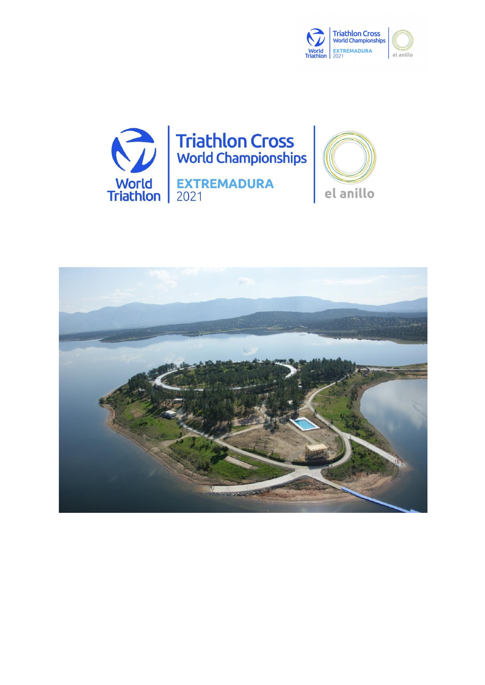



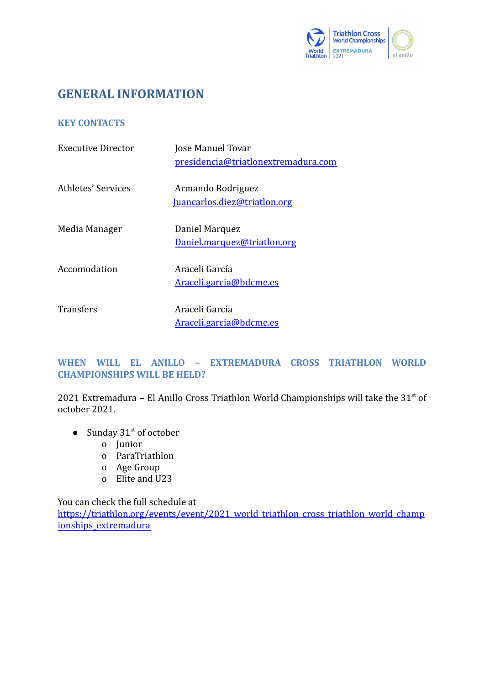

# **GENERAL INFORMATION**

# **KEY CONTACTS**

| Executive Director | Jose Manuel Tovar<br>presidencia@triatlonextremadura.com |
|--------------------|----------------------------------------------------------|
| Athletes' Services | Armando Rodriguez<br>Juancarlos.diez@triatlon.org        |
| Media Manager      | Daniel Marquez<br>Daniel.marquez@triatlon.org            |
| Accomodation       | Araceli García<br>Araceli.garcia@bdcme.es                |
| Transfers          | Araceli García<br>Araceli.garcia@bdcme.es                |

# **WHEN WILL EL ANILLO – EXTREMADURA CROSS TRIATHLON WORLD CHAMPIONSHIPS WILL BE HELD?**

2021 Extremadura – El Anillo Cross Triathlon World Championships will take the  $31<sup>st</sup>$  of october 2021.

- Sunday  $31<sup>st</sup>$  of october
	- o Junior
	- o ParaTriathlon
	- o Age Group
	- o Elite and U23

You can check the full schedule at [https://triathlon.org/events/event/2021\\_world\\_triathlon\\_cross\\_triathlon\\_world\\_champ](https://triathlon.org/events/event/2021_world_triathlon_cross_triathlon_world_championships_extremadura) [ionships\\_extremadura](https://triathlon.org/events/event/2021_world_triathlon_cross_triathlon_world_championships_extremadura)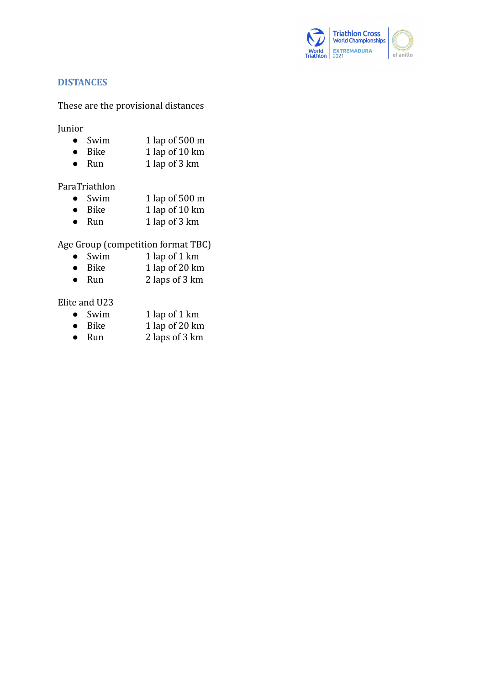

# **DISTANCES**

### These are the provisional distances

Junior

- Swim  $1 \text{ lap }$  of 500 m
- Bike 1 lap of 10 km
- Run 1 lap of 3 km

# ParaTriathlon

- Swim 1 lap of 500 m
- $\bullet$  Bike  $1 \text{ lap } \text{of } 10 \text{ km}$
- Run  $1 \text{ lap }$  of 3 km

Age Group (competition format TBC)

- Swim  $1$  lap of  $1$  km
- $\bullet$  Bike  $1 \text{ lap }$  of 20 km
- Run 2 laps of 3 km

## Elite and U23

- 
- Swim 1 lap of 1 km<br>● Bike 1 lap of 20 km 1 lap of 20  $km$
- Run  $2 \text{ laps of } 3 \text{ km}$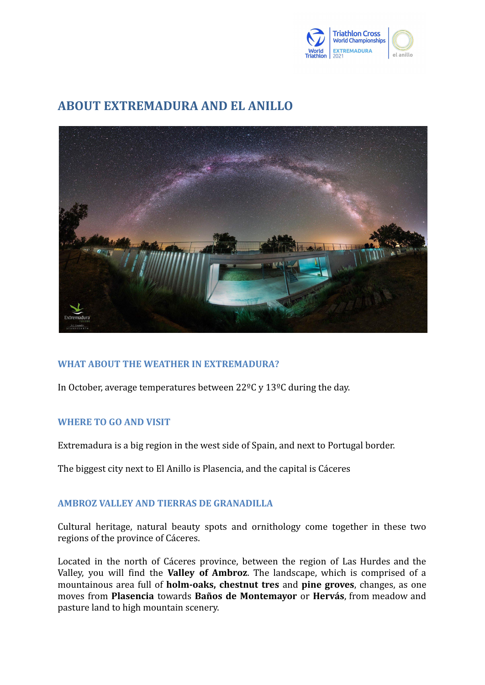

# **ABOUT EXTREMADURA AND EL ANILLO**



# **WHAT ABOUT THE WEATHER IN EXTREMADURA?**

In October, average temperatures between 22ºC y 13ºC during the day.

#### **WHERE TO GO AND VISIT**

Extremadura is a big region in the west side of Spain, and next to Portugal border.

The biggest city next to El Anillo is Plasencia, and the capital is Cáceres

# **AMBROZ VALLEY AND TIERRAS DE GRANADILLA**

Cultural heritage, natural beauty spots and ornithology come together in these two regions of the province of Cáceres.

Located in the north of Cáceres province, between the region of Las Hurdes and the Valley, you will find the **Valley of Ambroz**. The landscape, which is comprised of a mountainous area full of **holm-oaks, chestnut tres** and **pine groves**, changes, as one moves from **[Plasencia](https://www.turismoextremadura.com/en/explora/Plasencia/)** towards **Baños de [Montemayor](https://www.turismoextremadura.com/en/explora/Banos-de-Montemayor/)** or **[Hervás](https://www.turismoextremadura.com/en/explora/Hervas/)**, from meadow and pasture land to high mountain scenery.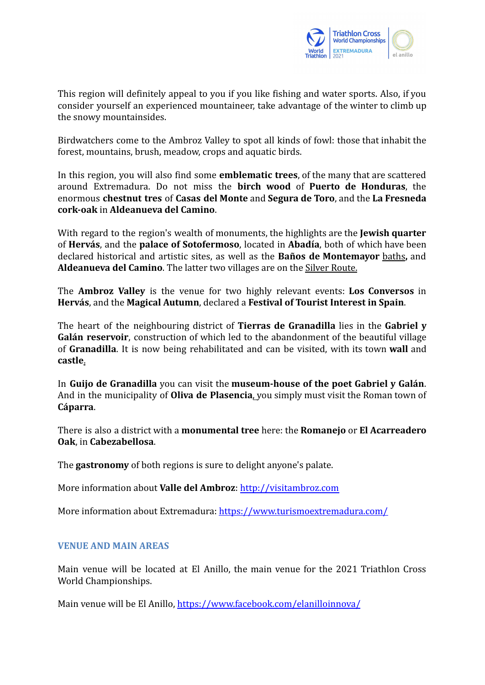

This region will definitely appeal to you if you like fishing and water sports. Also, if you consider yourself an experienced mountaineer, take advantage of the winter to climb up the snowy mountainsides.

Birdwatchers come to the Ambroz Valley to spot all kinds of fowl: those that inhabit the forest, mountains, brush, meadow, crops and aquatic birds.

In this region, you will also find some **emblematic trees**, of the many that are scattered around Extremadura. Do not miss the **birch [wood](https://www.turismoextremadura.com/en/explora/Abedular-del-Puerto-de-Honduras/?lang=es)** of **Puerto de Honduras**, the enormous **chestnut tres** of **Casas del [Monte](https://www.turismoextremadura.com/en/explora/Casas-del-Monte/)** and **[Segura](https://www.turismoextremadura.com/en/explora/Segura-de-Toro/) de Toro**, and the **La [Fresneda](https://www.turismoextremadura.com/en/explora/Alcornoque-de-La-Fresneda/) [cork-oak](https://www.turismoextremadura.com/en/explora/Alcornoque-de-La-Fresneda/)** in **[Aldeanueva del Camino](https://www.turismoextremadura.com/en/explora/Aldeanueva-del-camino)**.

With regard to the region's wealth of monuments, the highlights are the **Jewish [quarter](https://www.turismoextremadura.com/en/explora/Barrio-judio-de-Hervas/)** of **[Hervás](https://www.turismoextremadura.com/en/explora/Hervas/)**, and the **palace of [Sotofermoso](https://www.turismoextremadura.com/en/explora/Palacio-de-los-Duques-de-Alba/?lang=en)**, located in **[Abadía](https://www.turismoextremadura.com/en/explora/Abadia)**, both of which have been declared historical and artistic sites, as well as the **Baños de [Montemayor](https://www.turismoextremadura.com/en/explora/Banos-de-Montemayor/)** [baths](https://www.turismoextremadura.com/en/explora/Balneario-de-Banos-de-Montemayor/)**,** and **[Aldeanueva del Camino](https://www.turismoextremadura.com/en/explora/Aldeanueva-del-camino)**. The latter two villages are on the [Silver Route.](https://www.turismoextremadura.com/en/explora/Ruta-Via-de-la-Plata/)

The **Ambroz Valley** is the venue for two highly relevant events: **Los [Conversos](https://www.turismoextremadura.com/en/explora/Los-Conversos-00001/)** in **[Hervás](https://www.turismoextremadura.com/en/explora/Hervas/)**, and the **[Magical Autumn](https://www.turismoextremadura.com/en/explora/Otono-Magico-00005/)**, declared a **Festival of Tourist Interest in Spain**.

The heart of the neighbouring district of **Tierras de Granadilla** lies in the **[Gabriel](https://www.turismoextremadura.com/en/explora/ZEPA-Embalse-Gabriel-Y-Galan/) y Galán [reservoir](https://www.turismoextremadura.com/en/explora/ZEPA-Embalse-Gabriel-Y-Galan/)**, construction of which led to the abandonment of the beautiful village of **[Granadilla](https://www.turismoextremadura.com/en/explora/Granadilla/)**. It is now being rehabilitated and can be visited, with its town **wall** and **[castle](https://www.turismoextremadura.com/en/explora/Castillo-de-Granadilla/)**.

In **Guijo de [Granadilla](https://www.turismoextremadura.com/en/explora/Guijo-de-Granadilla/?lang=en)** you can visit the **[museum-house](https://www.turismoextremadura.com/en/explora/Casa-Museo-de-Gabriel-y-Galan/?lang=en) of the poet Gabriel y Galán**. And in the municipality of **Oliva de [Plasencia](https://www.turismoextremadura.com/en/explora/Oliva-de-Plasencia-00001/)**, you simply must visit the Roman town of **[Cáparra](https://www.turismoextremadura.com/en/explora/Ciudad-romana-de-Caparra/?lang=en)**.

There is also a district with a **monumental tree** here: the **Romanejo** or **El [Acarreadero](https://www.turismoextremadura.com/en/explora/Roble-del-Acarreadero/) [Oak](https://www.turismoextremadura.com/en/explora/Roble-del-Acarreadero/)**, in **[Cabezabellosa](https://www.turismoextremadura.com/en/explora/Cabezabellosa)**.

The **gastronomy** of both regions is sure to delight anyone's palate.

More information about **Valle del Ambroz**: <http://visitambroz.com>

More information about Extremadura: <https://www.turismoextremadura.com/>

#### **VENUE AND MAIN AREAS**

Main venue will be located at El Anillo, the main venue for the 2021 Triathlon Cross World Championships.

Main venue will be El Anillo, [https://www.facebook.com/elanilloinnova/](https://www.facebook.com/elanilloinnova/about/?ref=page_internal)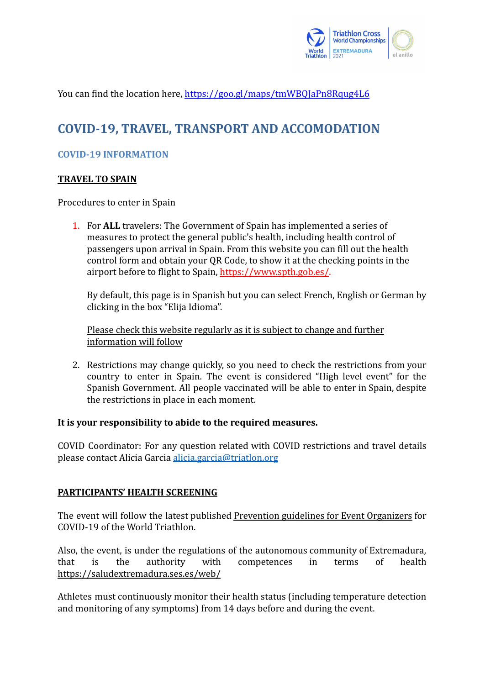

You can find the location here, https://goo.gl/maps/tmWBOJaPn8Rqug4L6

# **COVID-19, TRAVEL, TRANSPORT AND ACCOMODATION**

# **COVID-19 INFORMATION**

# **TRAVEL TO SPAIN**

Procedures to enter in Spain

1. For **ALL** travelers: The Government of Spain has implemented a series of measures to protect the general public's health, including health control of passengers upon arrival in Spain. From this website you can fill out the health control form and obtain your QR Code, to show it at the checking points in the airport before to flight to Spain, <https://www.spth.gob.es/>.

By default, this page is in Spanish but you can select French, English or German by clicking in the box "Elija Idioma".

Please check this website regularly as it is subject to change and further information will follow

2. Restrictions may change quickly, so you need to check the restrictions from your country to enter in Spain. The event is considered "High level event" for the Spanish Government. All people vaccinated will be able to enter in Spain, despite the restrictions in place in each moment.

# **It is your responsibility to abide to the required measures.**

COVID Coordinator: For any question related with COVID restrictions and travel details please contact Alicia Garcia [alicia.garcia@triatlon.org](mailto:alicia.garcia@triatlon.org)

# **PARTICIPANTS' HEALTH SCREENING**

The event will follow the latest published [Prevention](https://www.triathlon.org/uploads/docs/20200101_Covid19_Guidelines_4.0.pdf) guidelines for Event Organizers for COVID-19 of the World Triathlon.

Also, the event, is under the regulations of the autonomous community of Extremadura, that is the authority with competences in terms of health <https://saludextremadura.ses.es/web/>

Athletes must continuously monitor their health status (including temperature detection and monitoring of any symptoms) from 14 days before and during the event.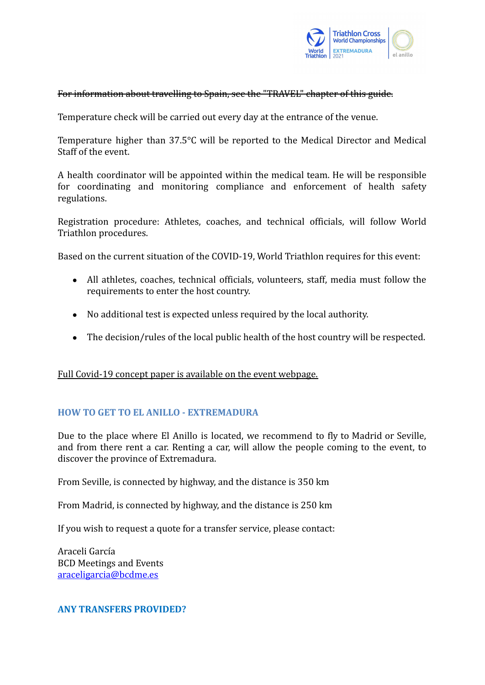

### For information about travelling to Spain, see the "TRAVEL" chapter of this guide.

Temperature check will be carried out every day at the entrance of the venue.

Temperature higher than 37.5°C will be reported to the Medical Director and Medical Staff of the event.

A health coordinator will be appointed within the medical team. He will be responsible for coordinating and monitoring compliance and enforcement of health safety regulations.

Registration procedure: Athletes, coaches, and technical officials, will follow World Triathlon procedures.

Based on the current situation of the COVID-19, World Triathlon requires for this event:

- All athletes, coaches, technical officials, volunteers, staff, media must follow the requirements to enter the host country.
- No additional test is expected unless required by the local authority.
- The decision/rules of the local public health of the host country will be respected.

# Full Covid-19 concept paper is available on the event webpage.

# **HOW TO GET TO EL ANILLO - EXTREMADURA**

Due to the place where El Anillo is located, we recommend to fly to Madrid or Seville, and from there rent a car. Renting a car, will allow the people coming to the event, to discover the province of Extremadura.

From Seville, is connected by highway, and the distance is 350 km

From Madrid, is connected by highway, and the distance is 250 km

If you wish to request a quote for a transfer service, please contact:

Araceli García BCD Meetings and Events [araceligarcia@bcdme.es](mailto:araceligarcia@bcdme.es)

#### **ANY TRANSFERS PROVIDED?**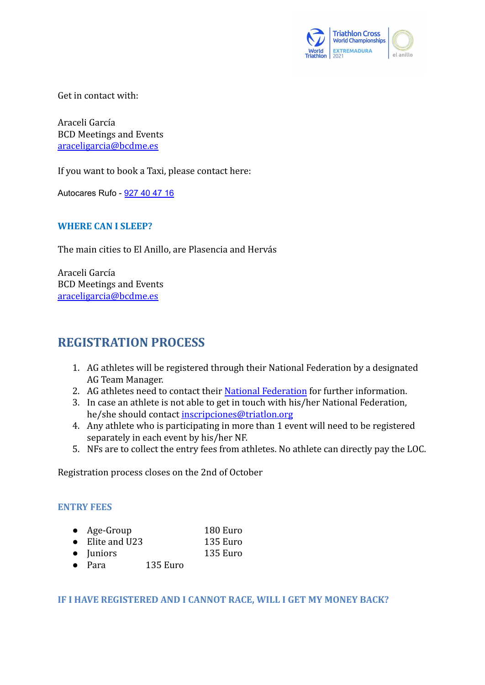

Get in contact with:

Araceli García BCD Meetings and Events [araceligarcia@bcdme.es](mailto:araceligarcia@bcdme.es)

If you want to book a Taxi, please contact here:

Autocares Rufo - [927 40 47 16](https://www.google.es/search?q=autocares+rufo&ie=UTF-8&oe=UTF-8&hl=es-es&client=safari)

### **WHERE CAN I SLEEP?**

The main cities to El Anillo, are Plasencia and Hervás

Araceli García BCD Meetings and Events [araceligarcia@bcdme.es](mailto:araceligarcia@bcdme.es)

# **REGISTRATION PROCESS**

- 1. AG athletes will be registered through their National Federation by a designated AG Team Manager.
- 2. AG athletes need to contact their [National Federation](https://triathlon.org/agegroup/federations) for further information.
- 3. In case an athlete is not able to get in touch with his/her National Federation, he/she should contact [inscripciones@triatlon.org](mailto:inscripciones@triatlon.org)
- 4. Any athlete who is participating in more than 1 event will need to be registered separately in each event by his/her NF.
- 5. NFs are to collect the entry fees from athletes. No athlete can directly pay the LOC.

Registration process closes on the 2nd of October

#### **ENTRY FEES**

- Age-Group 180 Euro
- Elite and U23 135 Euro
- Juniors 135 Euro
- Para 135 Euro

**IF I HAVE REGISTERED AND I CANNOT RACE, WILL I GET MY MONEY BACK?**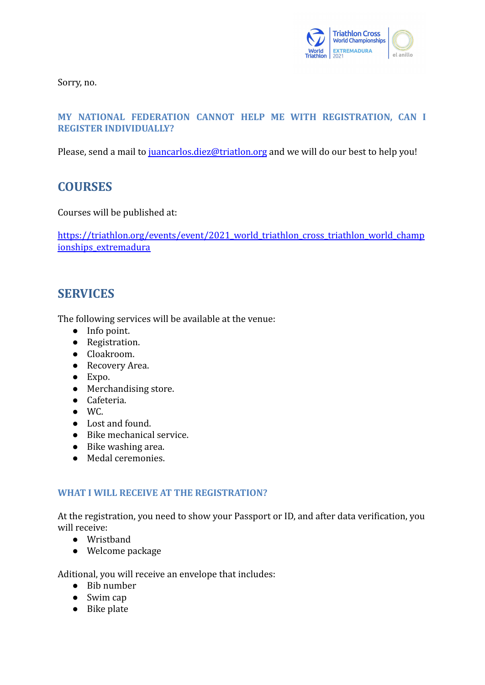

Sorry, no.

# **MY NATIONAL FEDERATION CANNOT HELP ME WITH REGISTRATION, CAN I REGISTER INDIVIDUALLY?**

Please, send a mail to [juancarlos.diez@triatlon.org](mailto:juancarlos.diez@triatlon.org) and we will do our best to help you!

# **COURSES**

Courses will be published at:

[https://triathlon.org/events/event/2021\\_world\\_triathlon\\_cross\\_triathlon\\_world\\_champ](https://triathlon.org/events/event/2021_world_triathlon_cross_triathlon_world_championships_extremadura) [ionships\\_extremadura](https://triathlon.org/events/event/2021_world_triathlon_cross_triathlon_world_championships_extremadura)

# **SERVICES**

The following services will be available at the venue:

- Info point.
- Registration.
- Cloakroom.
- Recovery Area.
- Expo.
- Merchandising store.
- Cafeteria.
- $\bullet$  WC.
- Lost and found.
- Bike mechanical service.
- Bike washing area.
- Medal ceremonies.

# **WHAT I WILL RECEIVE AT THE REGISTRATION?**

At the registration, you need to show your Passport or ID, and after data verification, you will receive:

- Wristband
- Welcome package

Aditional, you will receive an envelope that includes:

- Bib number
- Swim cap
- Bike plate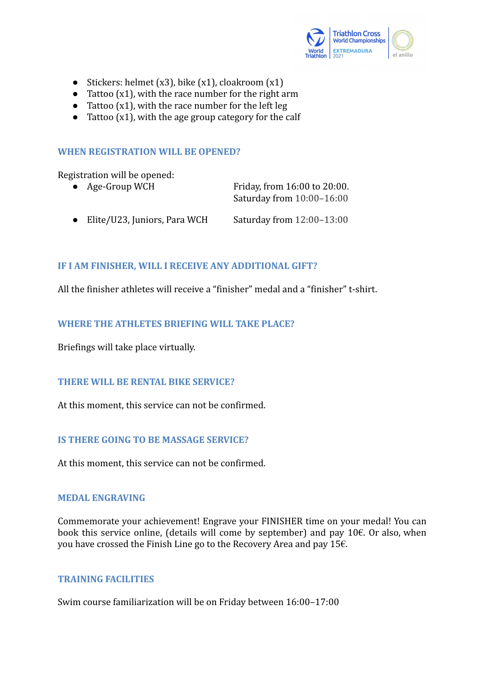

- Stickers: helmet  $(x3)$ , bike  $(x1)$ , cloakroom  $(x1)$
- Tattoo  $(x1)$ , with the race number for the right arm
- $\bullet$  Tattoo (x1), with the race number for the left leg
- Tattoo  $(x1)$ , with the age group category for the calf

# **WHEN REGISTRATION WILL BE OPENED?**

Registration will be opened:

| • Age-Group WCH | Friday, from 16:00 to 20:00. |
|-----------------|------------------------------|
|                 | Saturday from 10:00-16:00    |

● Elite/U23, Juniors, Para WCH Saturday from 12:00-13:00

# **IF I AM FINISHER, WILL I RECEIVE ANY ADDITIONAL GIFT?**

All the finisher athletes will receive a "finisher" medal and a "finisher" t-shirt.

# **WHERE THE ATHLETES BRIEFING WILL TAKE PLACE?**

Briefings will take place virtually.

# **THERE WILL BE RENTAL BIKE SERVICE?**

At this moment, this service can not be confirmed.

# **IS THERE GOING TO BE MASSAGE SERVICE?**

At this moment, this service can not be confirmed.

#### **MEDAL ENGRAVING**

Commemorate your achievement! Engrave your FINISHER time on your medal! You can book this service online, (details will come by september) and pay 10€. Or also, when you have crossed the Finish Line go to the Recovery Area and pay 15€.

### **TRAINING FACILITIES**

Swim course familiarization will be on Friday between 16:00–17:00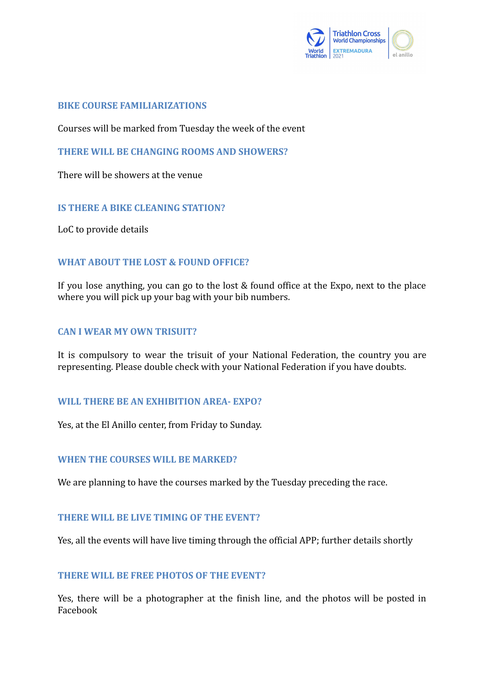

## **BIKE COURSE FAMILIARIZATIONS**

Courses will be marked from Tuesday the week of the event

# **THERE WILL BE CHANGING ROOMS AND SHOWERS?**

There will be showers at the venue

# **IS THERE A BIKE CLEANING STATION?**

LoC to provide details

# **WHAT ABOUT THE LOST & FOUND OFFICE?**

If you lose anything, you can go to the lost & found office at the Expo, next to the place where you will pick up your bag with your bib numbers.

### **CAN I WEAR MY OWN TRISUIT?**

It is compulsory to wear the trisuit of your National Federation, the country you are representing. Please double check with your National Federation if you have doubts.

#### **WILL THERE BE AN EXHIBITION AREA- EXPO?**

Yes, at the El Anillo center, from Friday to Sunday.

#### **WHEN THE COURSES WILL BE MARKED?**

We are planning to have the courses marked by the Tuesday preceding the race.

#### **THERE WILL BE LIVE TIMING OF THE EVENT?**

Yes, all the events will have live timing through the official APP; further details shortly

# **THERE WILL BE FREE PHOTOS OF THE EVENT?**

Yes, there will be a photographer at the finish line, and the photos will be posted in Facebook